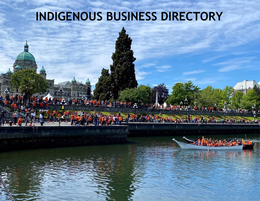## **INDIGENOUS BUSINESS DIRECTORY**



 $1 - 6$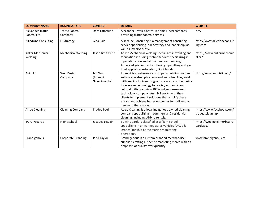| <b>COMPANY NAME</b>                | <b>BUSINESS TYPE</b>              | <b>CONTACT</b>                         | <b>DETAILS</b>                                                                                                                                                                                                                                                                                                                                                                                                                                               | <b>WEBSITE</b>                                |
|------------------------------------|-----------------------------------|----------------------------------------|--------------------------------------------------------------------------------------------------------------------------------------------------------------------------------------------------------------------------------------------------------------------------------------------------------------------------------------------------------------------------------------------------------------------------------------------------------------|-----------------------------------------------|
| Alexander Traffic<br>Control Ltd.  | <b>Traffic Control</b><br>Company | Dore Lafortune                         | Alexander Traffic Control is a small local company<br>providing traffic control services.                                                                                                                                                                                                                                                                                                                                                                    | N/A                                           |
| <b>AlliedOne Consulting</b>        | <b>IT Strategy</b>                | Gina Pala                              | AlliedOne Consulting is a management consulting<br>service specializing in IT Strategy and leadership, as<br>well as CyberSecurity.                                                                                                                                                                                                                                                                                                                          | http://www.alliedoneconsult<br>ing.com        |
| <b>Anker Mechanical</b><br>Welding | <b>Mechanical Welding</b>         | Jason Breitkreitz                      | Anker Mechanical Welding specializes in welding and<br>fabrication including mobile services specializing in<br>pipe fabrication and aluminum boat building;<br>Approved gas contractor offering pipe fitting and gas<br>fired appliance installation; Dock builder                                                                                                                                                                                          | https://www.ankermechanic<br>al.ca/           |
| Animikii                           | Web Design<br>Company             | Jeff Ward<br>(Animikii<br>Gwewinzenhs) | Animikii is a web-services company building custom<br>software, web-applications and websites. They work<br>with leading Indigenous groups across North America<br>to leverage technology for social, economic and<br>cultural initiatives. As a 100% Indigenous-owned<br>technology company, Animikii works with their<br>clients to implement solutions that amplify these<br>efforts and achieve better outcomes for Indigenous<br>people in these areas. | http://www.animikii.com/                      |
| <b>Atrue Cleaning</b>              | <b>Cleaning Company</b>           | <b>Trudee Paul</b>                     | Atrue Cleaning is a local Indigenous owned cleaning<br>company specializing in commercial & residential<br>cleaning, including Airbnb rentals.                                                                                                                                                                                                                                                                                                               | https://www.facebook.com/<br>trudeescleaning/ |
| <b>BC Air Guards</b>               | Flight school                     | Jacques LeClair                        | BC Air Guards is classified as a flight school<br>specializing in unmanned aerial vehicles (UAVs &<br>Drones) for ship borne marine monitoring<br>operations.                                                                                                                                                                                                                                                                                                | https://web.goigi.me/bcairg<br>uardswp/       |
| <b>Brandigenous</b>                | <b>Corporate Branding</b>         | Jarid Taylor                           | Brandigenous is a custom branded merchandise<br>supplier, crafting authentic marketing merch with an<br>emphasis of quality over quantity.                                                                                                                                                                                                                                                                                                                   | www.brandigenous.ca                           |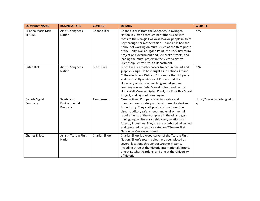| <b>COMPANY NAME</b>                  | <b>BUSINESS TYPE</b>                    | <b>CONTACT</b>         | <b>DETAILS</b>                                                                                                                                                                                                                                                                                                                                                                                                                                                             | <b>WEBSITE</b>                   |
|--------------------------------------|-----------------------------------------|------------------------|----------------------------------------------------------------------------------------------------------------------------------------------------------------------------------------------------------------------------------------------------------------------------------------------------------------------------------------------------------------------------------------------------------------------------------------------------------------------------|----------------------------------|
| Brianna Marie Dick<br><b>TEALIYE</b> | Artist - Songhees<br>Nation             | <b>Brianna Dick</b>    | Brianna Dick is from the Songhees/Lekwungen<br>Nation in Victoria through her father's side with<br>roots to the Namgis Kwakwaka'wakw people in Alert<br>Bay through her mother's side. Brianna has had the<br>honour of working on murals such as the third phase<br>of the Unity Wall at Ogden Point, the Rock Bay Mural<br>project on Government and Pembroke Streets, and<br>leading the mural project in the Victoria Native<br>Friendship Centre's Youth Department. | N/A                              |
| <b>Butch Dick</b>                    | Artist - Songhees<br>Nation             | <b>Butch Dick</b>      | Butch Dick is a master carver trained in fine art and<br>graphic design. He has taught First Nations Art and<br>Culture in School District 61 for more than 20 years<br>and is currently an Assistant Professor at the<br>University of Victoria, teaching an Indigenous<br>Learning course. Butch's work is featured on the<br>Unity Wall Mural at Ogden Point, the Rock Bay Mural<br>Project, and Signs of Lekwungen.                                                    | N/A                              |
| Canada Signal<br>Company             | Safety and<br>Environmental<br>Products | Tara Jensen            | Canada Signal Company is an innovator and<br>manufacturer of safety and environmental devices<br>for industry. They craft products to address the<br>visual, auditory safety needs and environmental<br>requirements of the workplace in the oil and gas,<br>mining, aquaculture, rail, ship yard, aviation and<br>forestry industries. They are are an Aboriginal owned<br>and operated company located on T'Sou-ke First<br>Nation on Vancouver Island.                  | https://www.canadasignal.c<br>a/ |
| <b>Charles Elliott</b>               | Artist - Tsartlip First<br>Nation       | <b>Charles Elliott</b> | Charles Elliott is a wood carver of the Tsartlip First<br>Nation. Elliott's totem poles have been placed at<br>several locations throughout Greater Victoria,<br>including three at the Victoria International Airport,<br>one at Butchart Gardens, and one at the University<br>of Victoria.                                                                                                                                                                              |                                  |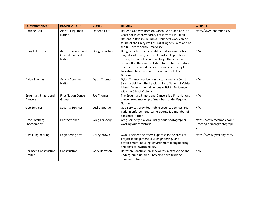| <b>COMPANY NAME</b>                     | <b>BUSINESS TYPE</b>                                      | <b>CONTACT</b>       | <b>DETAILS</b>                                                                                                                                                                                                                                                                                                                          | <b>WEBSITE</b>                                              |
|-----------------------------------------|-----------------------------------------------------------|----------------------|-----------------------------------------------------------------------------------------------------------------------------------------------------------------------------------------------------------------------------------------------------------------------------------------------------------------------------------------|-------------------------------------------------------------|
| Darlene Gait                            | Artist - Esquimalt<br><b>Nation</b>                       | Darlene Gait         | Darlene Gait was born on Vancouver Island and is a<br>Coast Salish contemporary artist from Esquimalt<br>Nations in British Columbia. Darlene's work can be<br>found at the Unity Wall Mural at Ogden Point and on<br>the BC Ferries Salish Orca vessel.                                                                                | http://www.onemoon.ca/                                      |
| Doug LaFortune                          | Artist - Tsawout and<br>Quw'utsun' First<br><b>Nation</b> | Doug LaFortune       | Doug LaFortune is a versatile artist known for his<br>playful sculptures, powerful masks, elegant feast<br>dishes, totem poles and paintings. His pieces are<br>often left in their natural state to exhibit the natural<br>beauty of the wood pieces he chooses to sculpt.<br>LaFortune has three impressive Totem Poles in<br>Duncan. | N/A                                                         |
| <b>Dylan Thomas</b>                     | Artist - Songhees<br><b>Nation</b>                        | <b>Dylan Thomas</b>  | Dylan Thomas was born in Victoria and is a Coast<br>Salish artist from the Lyackson First Nation of Valdes<br>Island. Dylan is the Indigenous Artist in Residence<br>with the City of Victoria.                                                                                                                                         | N/A                                                         |
| <b>Esquimalt Singers and</b><br>Dancers | <b>First Nation Dance</b><br>Group                        | Joe Thomas           | The Esquimalt Singers and Dancers is a First Nations<br>dance group made up of members of the Esquimalt<br>Nation.                                                                                                                                                                                                                      | N/A                                                         |
| Geo Services                            | <b>Security Services</b>                                  | Leslie George        | Geo Services provides mobile security services and<br>parking enforcement. Leslie George is a member of<br>Songhees Nation.                                                                                                                                                                                                             | N/A                                                         |
| <b>Greg Forsberg</b><br>Photography     | Photographer                                              | <b>Greg Forsberg</b> | Greg Forsberg is a local Indigenous photographer<br>working out of Victoria.                                                                                                                                                                                                                                                            | https://www.facebook.com/<br>GregoryForsbergPhotograph<br>v |
| <b>Gwaii Engineering</b>                | Engineering firm                                          | Corey Brown          | Gwaii Engineering offers expertise in the areas of<br>project management, civil engineering, land<br>development, housing, environmental engineering<br>and physical hydrogeology.                                                                                                                                                      | https://www.gwaiieng.com/                                   |
| <b>Hermsen Construction</b><br>Limited  | Construction                                              | Gary Hermsen         | Hermsen Construction specializes in excavating and<br>underground utilities. They also have trucking<br>equipment for hire.                                                                                                                                                                                                             | N/A                                                         |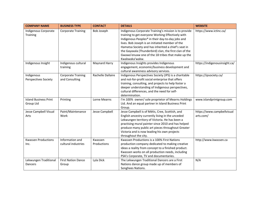| <b>COMPANY NAME</b>                       | <b>BUSINESS TYPE</b>                        | <b>CONTACT</b>         | <b>DETAILS</b>                                                                                                                                                                                                                                                                                                                                                                                            | <b>WEBSITE</b>                          |
|-------------------------------------------|---------------------------------------------|------------------------|-----------------------------------------------------------------------------------------------------------------------------------------------------------------------------------------------------------------------------------------------------------------------------------------------------------------------------------------------------------------------------------------------------------|-----------------------------------------|
| Indigenous Corporate<br>Training          | <b>Corporate Training</b>                   | Bob Joseph             | Indigenous Corporate Training's mission is to provide<br>training to get everyone Working Effectively with<br>Indigenous Peoples® in their day-to-day jobs and<br>lives. Bob Joseph is an initiated member of the<br>Hamatsa Society and has inherited a chief's seat in<br>the Gayaxala (Thunderbird) clan, the first clan of the<br>Gwawa'enuxw one of the 18 tribes that make up the<br>Kwakwaka'wakw. | https://www.ictinc.ca/                  |
| Indigenous Insight                        | Indigenous cultural<br>training             | Maynard Harry          | Indigenous Insights provides Indigenous<br>engagement, economic/business development and<br>cultural awareness advisory services.                                                                                                                                                                                                                                                                         | https://indigenousinsight.ca/           |
| Indigenous<br><b>Perspectives Society</b> | <b>Corporate Training</b><br>and Consulting | Rachelle Dallaire      | Indigenous Perspectives Society (IPS) is a charitable<br>and not-for-profit social enterprise that offers<br>training, consulting, and projects to help foster a<br>deeper understanding of Indigenous perspectives,<br>cultural differences, and the need for self-<br>determination.                                                                                                                    | https://ipsociety.ca/                   |
| <b>Island Business Print</b><br>Group Ltd | Printing                                    | Lorne Mearns           | I'm 100% owner/ sole proprietor of Mearns Holdings<br>Ltd. And an equal partner in Island Business Print<br>Group.                                                                                                                                                                                                                                                                                        | www.islandprintgroup.com                |
| Jesse Campbell Visual<br>Arts             | Paint/Maintenance<br>Work                   | <b>Jesse Campbell</b>  | Jesse Campbell is of Métis, Cree, Scottish, and<br>English ancestry currently living in the unceded<br>Lekwungen territory of Victoria. He has been a<br>practising mural painter since 2010 and has helped<br>produce many public art pieces throughout Greater<br>Victoria and is now leading his own projects<br>throughout the city.                                                                  | https://www.campbellvisual<br>arts.com/ |
| <b>Kwassen Productions</b><br>Inc.        | Information and<br>cultural industries      | Kwassen<br>Productions | Kwassen Productions is a 100% First Nations<br>production company dedicated to making creative<br>ideas a reality from concept to a finished product.<br>Kwassen works on all production needs, including<br>PSA's Corporate, TV and documentaries.                                                                                                                                                       | http://www.kwassen.ca                   |
| Lekwungen Traditional<br>Dancers          | <b>First Nation Dance</b><br>Group          | Lyla Dick              | The Lekwungen Traditional Dancers are a First<br>Nations dance group made up of members of<br>Songhees Nations.                                                                                                                                                                                                                                                                                           | N/A                                     |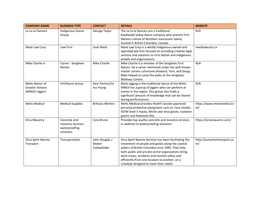| <b>COMPANY NAME</b>                                   | <b>BUSINESS TYPE</b>                                            | <b>CONTACT</b>                          | <b>DETAILS</b>                                                                                                                                                                                                                                                                                                                                                 | <b>WEBSITE</b>                    |
|-------------------------------------------------------|-----------------------------------------------------------------|-----------------------------------------|----------------------------------------------------------------------------------------------------------------------------------------------------------------------------------------------------------------------------------------------------------------------------------------------------------------------------------------------------------------|-----------------------------------|
| Le-La-la Dancers                                      | Indigenous Dance<br>Group                                       | George Taylor                           | The Le-la-la Dancers are a traditional<br>Kwakwaka'wakw dance company who present First<br>Nations culture of Northern Vancouver Island,<br>located in British Columbia, Canada.                                                                                                                                                                               | N/A                               |
| Mack Law Corp                                         | Law Firm                                                        | Leah Mack                               | Mack Law Corp is a wholly Indigenous-owned and<br>operated law firm focused on providing creative legal<br>services and solutions to First Nation and Indigenous<br>people and organizations.                                                                                                                                                                  | macklawcorp.ca                    |
| Mike Charlie Jr.                                      | Carver - Songhees<br>Nation                                     | <b>Mike Charlie</b>                     | Mike Charlie is a member of the Songhees First<br>Nation. He a carver mentored under the well known<br>master carvers LaFortune (Howard, Tom, and Doug).<br>Mike helped to carve the poles at the Songhees<br>Wellness Centre.                                                                                                                                 | N/A                               |
| Metis Nation of<br>Greater Victoria<br>(MNGV) Jiggers | Art/Dance Group                                                 | Kear Porttris/Jo-<br>Ina Young          | Metis jigging is the traditional dance of the Metis.<br>MNGV has a group of jiggers who can perform at<br>events in the region. This group also holds a<br>significant amount of knowledge that can be shared<br>during performances.                                                                                                                          | N/A                               |
| <b>Metis Medical</b>                                  | <b>Medical Supplies</b>                                         | <b>Brittany Winters</b>                 | Metis Medical provides Health Canada approved<br>personal protective equipment such as: Face shields,<br>ASTM level 3 masks, Nitrile and vinyl gloves, Isolation<br>gowns and Naloxone Kits.                                                                                                                                                                   | https://www.metismedical.n<br>et/ |
| Orca Masonry                                          | Concrete and<br>masonry services;<br>waterproofing<br>solutions | Cory Brune                              | Provides top quality concrete and masonry services<br>in addition to waterproofing solutions.                                                                                                                                                                                                                                                                  | https://orcamasonry.com/          |
| Orca Spirit Marine<br>Transport                       | Transportation                                                  | John Douglas /<br>Walter<br>Cadwallader | Orca Spirit Marine Services has been facilitating the<br>movement of people and goods along the coastal<br>waters of British Columbia since 1996. They help<br>both public and private sector organizations bring<br>work crews, residents and tourists safety and<br>efficiently from one location to another, on a<br>schedule designed to meet their needs. | http://osmarinetransport.co<br>m/ |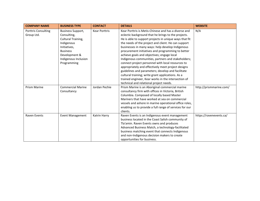| <b>COMPANY NAME</b> | <b>BUSINESS TYPE</b>     | <b>CONTACT</b>       | <b>DETAILS</b>                                          | <b>WEBSITE</b>          |
|---------------------|--------------------------|----------------------|---------------------------------------------------------|-------------------------|
| Porttris Consulting | <b>Business Support,</b> | <b>Kear Porttris</b> | Kear Porttris is Metis-Chinese and has a diverse and    | N/A                     |
| Group Ltd.          | Consulting,              |                      | eclectic background that he brings to the projects.     |                         |
|                     | Cultural Training,       |                      | He is able to support projects in unique ways that fit  |                         |
|                     | Indigenous               |                      | the needs of the project and client. He can support     |                         |
|                     | Initiatives,             |                      | businesses in many ways: help develop Indigenous        |                         |
|                     | <b>Business</b>          |                      | procurement initiatives and programming to better       |                         |
|                     | Development &            |                      | achieve goals and objectives; engage local              |                         |
|                     | Indigenous Inclusion     |                      | Indigenous communities, partners and stakeholders;      |                         |
|                     | Programming              |                      | connect project personnel with local resources to       |                         |
|                     |                          |                      | appropriately and effectively meet project designs      |                         |
|                     |                          |                      | guidelines and parameters; develop and facilitate       |                         |
|                     |                          |                      | cultural training; write grant applications. As a       |                         |
|                     |                          |                      | trained engineer, Kear works in the intersection of     |                         |
|                     |                          |                      | technical and relational project needs.                 |                         |
| <b>Prism Marine</b> | <b>Commercial Marine</b> | Jordan Pechie        | Prism Marine is an Aboriginal commercial marine         | http://prismmarine.com/ |
|                     | Consultancy              |                      | consultancy firm with offices in Victoria, British      |                         |
|                     |                          |                      | Columbia. Composed of locally based Master              |                         |
|                     |                          |                      | Mariners that have worked at sea on commercial          |                         |
|                     |                          |                      | vessels and ashore in marine operational office roles,  |                         |
|                     |                          |                      | enabling us to provide a full range of services for our |                         |
|                     |                          |                      | clients.                                                |                         |
| Raven Events        | <b>Event Management</b>  | Katrin Harry         | Raven Events is an Indigenous event management          | https://ravenevents.ca/ |
|                     |                          |                      | business located in the Coast Salish community of       |                         |
|                     |                          |                      | Tla'amin. Raven Events owns and produces                |                         |
|                     |                          |                      | Advanced Business Match, a technology-facilitated       |                         |
|                     |                          |                      | business matching event that connects Indigenous        |                         |
|                     |                          |                      | and non-Indigenous decision makers to create            |                         |
|                     |                          |                      | opportunities for business.                             |                         |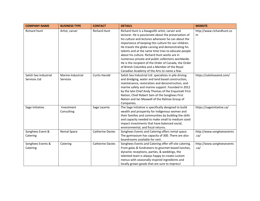| <b>COMPANY NAME</b>   | <b>BUSINESS TYPE</b> | <b>CONTACT</b>          | <b>DETAILS</b>                                         | <b>WEBSITE</b>             |
|-----------------------|----------------------|-------------------------|--------------------------------------------------------|----------------------------|
| <b>Richard Hunt</b>   | Artist, carver       | <b>Richard Hunt</b>     | Richard Hunt is a Kwaguilth artist, carver and         | http://www.richardhunt.co  |
|                       |                      |                         | lecturer. He is passionate about the preservation of   | m                          |
|                       |                      |                         | his culture and lectures whenever he can about the     |                            |
|                       |                      |                         | importance of keeping this culture for our children.   |                            |
|                       |                      |                         | He travels the globe carving and demonstrating his     |                            |
|                       |                      |                         | talents and at the same time tries to educate people   |                            |
|                       |                      |                         | about his culture. Richard Hunt works are in           |                            |
|                       |                      |                         | numerous private and public collections worldwide.     |                            |
|                       |                      |                         | He is the recipient of the Order of Canada, the Order  |                            |
|                       |                      |                         | of British Columbia and a Member of the Royal          |                            |
|                       |                      |                         | Canadian Academy of the Arts to name a few.            |                            |
| Salish Sea Industrial | Marine Industrial    | <b>Curtis Harold</b>    | Salish Sea Industrial Ltd. specializes in pile driving | https://salishseaind.com/  |
| Services Ltd          | Services             |                         | and dredging, water and land based construction,       |                            |
|                       |                      |                         | maintenance, restoration and deconstruction, and       |                            |
|                       |                      |                         | marine safety and marine support. Founded in 2012      |                            |
|                       |                      |                         | by the late Chief Andy Thomas of the Esquimalt First   |                            |
|                       |                      |                         | Nation, Chief Robert Sam of the Songhees First         |                            |
|                       |                      |                         | Nation and Ian Maxwell of the Ralmax Group of          |                            |
|                       |                      |                         | Companies.                                             |                            |
| Sage Initiative       | Investment           | Sage Lacerte            | The Sage Initiative is specifically designed to build  | https://sageinitiative.ca/ |
|                       | Consulting           |                         | wealth and prosperity for Indigenous womxn and         |                            |
|                       |                      |                         | their families and communities by building the skills  |                            |
|                       |                      |                         | and capacity needed to make small to medium sized      |                            |
|                       |                      |                         | impact investments that have balanced social,          |                            |
|                       |                      |                         | environmental, and fiscal returns.                     |                            |
| Songhees Event &      | <b>Rental Space</b>  | <b>Catherine Davies</b> | Songhees Events and Catering offers rental space.      | http://www.songheesevents  |
| Catering              |                      |                         | The gymnasium has capacity of 300. There are also      | .ca/                       |
|                       |                      |                         | boardrooms available for rent.                         |                            |
| Songhees Events &     | Catering             | <b>Catherine Davies</b> | Songhees Events and Catering offer off-site catering.  | http://www.songheesevents  |
| Catering              |                      |                         | From galas & fundraisers to gourmet boxed lunches,     | .ca/                       |
|                       |                      |                         | dynamic receptions, parties, & weddings, the           |                            |
|                       |                      |                         | talented team is always happy to create custom         |                            |
|                       |                      |                         | menus with seasonally inspired ingredients and         |                            |
|                       |                      |                         | locally grown goods that are sure to impress!          |                            |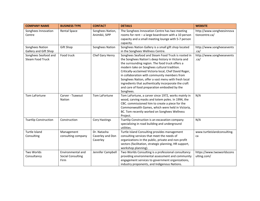| <b>COMPANY NAME</b>                             | <b>BUSINESS TYPE</b>                                  | <b>CONTACT</b>                              | <b>DETAILS</b>                                                                                                                                                                                                                                                                                                                                                                                                                                                                                   | <b>WEBSITE</b>                              |
|-------------------------------------------------|-------------------------------------------------------|---------------------------------------------|--------------------------------------------------------------------------------------------------------------------------------------------------------------------------------------------------------------------------------------------------------------------------------------------------------------------------------------------------------------------------------------------------------------------------------------------------------------------------------------------------|---------------------------------------------|
| Songhees Innovation<br>Centre                   | <b>Rental Space</b>                                   | Songhees Nation,<br>Animikii, SIPP          | The Songhees Innovation Centre has two meeting<br>rooms for rent - a large boardroom with a 10 person<br>capacity and a small meeting lounge with 5-7 person<br>capacity.                                                                                                                                                                                                                                                                                                                        | http://www.songheesinnova<br>tioncentre.ca/ |
| Songhees Nation<br>Gallery and Gift Shop        | Gift Shop                                             | Songhees Nation                             | Songhees Nation Gallery is a small gift shop located<br>in the Songhees Wellness Centre.                                                                                                                                                                                                                                                                                                                                                                                                         | http://www.songheesevents<br>.ca/           |
| Songhees Seafood and<br><b>Steam Food Truck</b> | Food truck                                            | Chef Gary Henry                             | Songhees Seafood and Steam Food Truck is rooted in<br>the Songhees Nation's deep history in Victoria and<br>the surrounding region. The food truck offers a<br>modern take on Songhees cultural tradition.<br>Critically-acclaimed Victoria local, Chef David Roger,<br>in collaboration with community members from<br>Songhees Nation, offer a vast menu with fresh local<br>ingredients that authentically incorporate the craft<br>and care of food preparation embodied by the<br>Songhees. | http://www.songheesevents<br>.ca/           |
| Tom LaFortune                                   | Carver - Tsawout<br>Nation                            | Tom LaFortune                               | Tom LaFortune, a carver since 1972, works mainly in<br>wood, carving masks and totem poles. In 1994, the<br>CBC. commissioned him to create a piece for the<br>Commonwealth Games, which were held in Victoria,<br>BC. Tom recently worked on Songhees Wellness<br>Project.                                                                                                                                                                                                                      | N/A                                         |
| <b>Tsartlip Construction</b>                    | Construction                                          | <b>Cory Hastings</b>                        | Tsartlip Construction is an excavation company<br>specializing in road building and underground<br>utilities.                                                                                                                                                                                                                                                                                                                                                                                    | N/A                                         |
| Turtle Island<br>Consulting                     | Management<br>consulting company                      | Dr. Natasha<br>Caverley and Don<br>Caverley | Turtle Island Consulting provides management<br>consulting services that meet the needs of<br>organizations in the public, private and non-profit<br>sectors (facilitation, strategic planning, HR support,<br>workshop planning).                                                                                                                                                                                                                                                               | www.turtleislandconsulting.<br>ca           |
| Two Worlds<br>Consultancy                       | Environmental and<br><b>Social Consulting</b><br>Firm | Jennifer Campbell                           | Two Worlds Consulting is a professional consultancy<br>providing environmental assessment and community<br>engagement services to government organizations,<br>industry proponents, and Indigenous Nations.                                                                                                                                                                                                                                                                                      | https://www.twoworldscons<br>ulting.com/    |